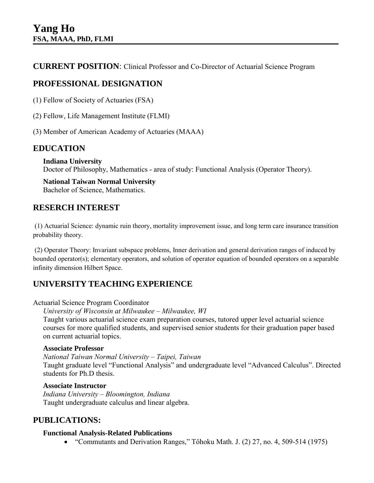**CURRENT POSITION**: Clinical Professor and Co-Director of Actuarial Science Program

# **PROFESSIONAL DESIGNATION**

- (1) Fellow of Society of Actuaries (FSA)
- (2) Fellow, Life Management Institute (FLMI)
- (3) Member of American Academy of Actuaries (MAAA)

## **EDUCATION**

#### **Indiana University**

Doctor of Philosophy, Mathematics - area of study: Functional Analysis (Operator Theory).

#### **National Taiwan Normal University**  Bachelor of Science, Mathematics.

## **RESERCH INTEREST**

(1) Actuarial Science: dynamic ruin theory, mortality improvement issue, and long term care insurance transition probability theory.

(2) Operator Theory: Invariant subspace problems, Inner derivation and general derivation ranges of induced by bounded operator(s); elementary operators, and solution of operator equation of bounded operators on a separable infinity dimension Hilbert Space.

## **UNIVERSITY TEACHING EXPERIENCE**

#### Actuarial Science Program Coordinator

*University of Wisconsin at Milwaukee – Milwaukee, WI*

Taught various actuarial science exam preparation courses, tutored upper level actuarial science courses for more qualified students, and supervised senior students for their graduation paper based on current actuarial topics.

#### **Associate Professor**

*National Taiwan Normal University – Taipei, Taiwan* 

Taught graduate level "Functional Analysis" and undergraduate level "Advanced Calculus". Directed students for Ph.D thesis.

### **Associate Instructor**

*Indiana University – Bloomington, Indiana*  Taught undergraduate calculus and linear algebra.

## **PUBLICATIONS:**

#### **Functional Analysis-Related Publications**

"Commutants and Derivation Ranges," Tôhoku Math. J. (2) 27, no. 4, 509-514 (1975)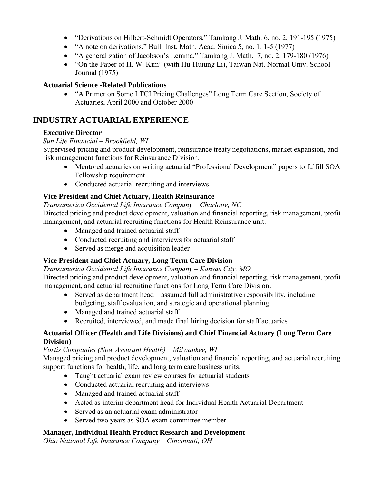- "Derivations on Hilbert-Schmidt Operators," Tamkang J. Math. 6, no. 2, 191-195 (1975)
- "A note on derivations," Bull. Inst. Math. Acad. Sinica 5, no. 1, 1-5 (1977)
- "A generalization of Jacobson's Lemma," Tamkang J. Math. 7, no. 2, 179-180 (1976)
- "On the Paper of H. W. Kim" (with Hu-Huiung Li), Taiwan Nat. Normal Univ. School Journal (1975)

#### **Actuarial Science -Related Publications**

 "A Primer on Some LTCI Pricing Challenges" Long Term Care Section, Society of Actuaries, April 2000 and October 2000

## **INDUSTRY ACTUARIAL EXPERIENCE**

### **Executive Director**

#### *Sun Life Financial – Brookfield, WI*

Supervised pricing and product development, reinsurance treaty negotiations, market expansion, and risk management functions for Reinsurance Division.

- Mentored actuaries on writing actuarial "Professional Development" papers to fulfill SOA Fellowship requirement
- Conducted actuarial recruiting and interviews

### **Vice President and Chief Actuary, Health Reinsurance**

*Transamerica Occidental Life Insurance Company – Charlotte, NC*  Directed pricing and product development, valuation and financial reporting, risk management, profit

management, and actuarial recruiting functions for Health Reinsurance unit.

- Managed and trained actuarial staff
- Conducted recruiting and interviews for actuarial staff
- Served as merge and acquisition leader

### **Vice President and Chief Actuary, Long Term Care Division**

*Transamerica Occidental Life Insurance Company – Kansas City, MO*  Directed pricing and product development, valuation and financial reporting, risk management, profit management, and actuarial recruiting functions for Long Term Care Division.

- Served as department head assumed full administrative responsibility, including budgeting, staff evaluation, and strategic and operational planning
- Managed and trained actuarial staff
- Recruited, interviewed, and made final hiring decision for staff actuaries

### **Actuarial Officer (Health and Life Divisions) and Chief Financial Actuary (Long Term Care Division)**

#### *Fortis Companies (Now Assurant Health) – Milwaukee, WI*

Managed pricing and product development, valuation and financial reporting, and actuarial recruiting support functions for health, life, and long term care business units.

- Taught actuarial exam review courses for actuarial students
- Conducted actuarial recruiting and interviews
- Managed and trained actuarial staff
- Acted as interim department head for Individual Health Actuarial Department
- Served as an actuarial exam administrator
- Served two years as SOA exam committee member

### **Manager, Individual Health Product Research and Development**

*Ohio National Life Insurance Company – Cincinnati, OH*